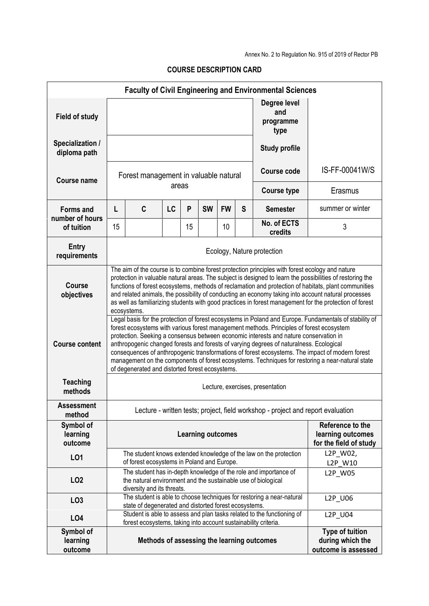Annex No. 2 to Regulation No. 915 of 2019 of Rector PB

| <b>Faculty of Civil Engineering and Environmental Sciences</b> |                                                                                                                                                                                                                                                                                                                                                                                                                                                                                                                                                                                                                                                  |                                                                                                                                                                                                                          |       |    |           |                                         |                                             |                                                                       |                                                                                  |  |  |  |
|----------------------------------------------------------------|--------------------------------------------------------------------------------------------------------------------------------------------------------------------------------------------------------------------------------------------------------------------------------------------------------------------------------------------------------------------------------------------------------------------------------------------------------------------------------------------------------------------------------------------------------------------------------------------------------------------------------------------------|--------------------------------------------------------------------------------------------------------------------------------------------------------------------------------------------------------------------------|-------|----|-----------|-----------------------------------------|---------------------------------------------|-----------------------------------------------------------------------|----------------------------------------------------------------------------------|--|--|--|
| <b>Field of study</b>                                          |                                                                                                                                                                                                                                                                                                                                                                                                                                                                                                                                                                                                                                                  |                                                                                                                                                                                                                          |       |    |           |                                         |                                             | Degree level<br>and<br>programme<br>type                              |                                                                                  |  |  |  |
| Specialization /<br>diploma path                               |                                                                                                                                                                                                                                                                                                                                                                                                                                                                                                                                                                                                                                                  |                                                                                                                                                                                                                          |       |    |           |                                         |                                             | <b>Study profile</b>                                                  |                                                                                  |  |  |  |
| Course name                                                    | Forest management in valuable natural                                                                                                                                                                                                                                                                                                                                                                                                                                                                                                                                                                                                            |                                                                                                                                                                                                                          |       |    |           |                                         |                                             | Course code                                                           | IS-FF-00041W/S                                                                   |  |  |  |
|                                                                |                                                                                                                                                                                                                                                                                                                                                                                                                                                                                                                                                                                                                                                  |                                                                                                                                                                                                                          | areas |    |           |                                         |                                             | <b>Course type</b>                                                    | Erasmus                                                                          |  |  |  |
| <b>Forms and</b><br>number of hours                            | L                                                                                                                                                                                                                                                                                                                                                                                                                                                                                                                                                                                                                                                | C                                                                                                                                                                                                                        | LC    | P  | <b>SW</b> | <b>FW</b>                               | S                                           | <b>Semester</b>                                                       | summer or winter                                                                 |  |  |  |
| of tuition                                                     | 15                                                                                                                                                                                                                                                                                                                                                                                                                                                                                                                                                                                                                                               |                                                                                                                                                                                                                          |       | 15 |           | 10                                      |                                             | No. of ECTS<br>credits                                                | 3                                                                                |  |  |  |
| <b>Entry</b><br>requirements                                   | Ecology, Nature protection                                                                                                                                                                                                                                                                                                                                                                                                                                                                                                                                                                                                                       |                                                                                                                                                                                                                          |       |    |           |                                         |                                             |                                                                       |                                                                                  |  |  |  |
| <b>Course</b><br>objectives                                    | The aim of the course is to combine forest protection principles with forest ecology and nature<br>protection in valuable natural areas. The subject is designed to learn the possibilities of restoring the<br>functions of forest ecosystems, methods of reclamation and protection of habitats, plant communities<br>and related animals, the possibility of conducting an economy taking into account natural processes<br>as well as familiarizing students with good practices in forest management for the protection of forest<br>ecosystems.                                                                                            |                                                                                                                                                                                                                          |       |    |           |                                         |                                             |                                                                       |                                                                                  |  |  |  |
| <b>Course content</b>                                          | Legal basis for the protection of forest ecosystems in Poland and Europe. Fundamentals of stability of<br>forest ecosystems with various forest management methods. Principles of forest ecosystem<br>protection. Seeking a consensus between economic interests and nature conservation in<br>anthropogenic changed forests and forests of varying degrees of naturalness. Ecological<br>consequences of anthropogenic transformations of forest ecosystems. The impact of modern forest<br>management on the components of forest ecosystems. Techniques for restoring a near-natural state<br>of degenerated and distorted forest ecosystems. |                                                                                                                                                                                                                          |       |    |           |                                         |                                             |                                                                       |                                                                                  |  |  |  |
| <b>Teaching</b><br>methods                                     | Lecture, exercises, presentation                                                                                                                                                                                                                                                                                                                                                                                                                                                                                                                                                                                                                 |                                                                                                                                                                                                                          |       |    |           |                                         |                                             |                                                                       |                                                                                  |  |  |  |
| <b>Assessment</b><br>method                                    |                                                                                                                                                                                                                                                                                                                                                                                                                                                                                                                                                                                                                                                  |                                                                                                                                                                                                                          |       |    |           |                                         |                                             |                                                                       | Lecture - written tests; project, field workshop - project and report evaluation |  |  |  |
| Symbol of<br>learning<br>outcome                               | Reference to the<br><b>Learning outcomes</b>                                                                                                                                                                                                                                                                                                                                                                                                                                                                                                                                                                                                     |                                                                                                                                                                                                                          |       |    |           |                                         | learning outcomes<br>for the field of study |                                                                       |                                                                                  |  |  |  |
| L01                                                            |                                                                                                                                                                                                                                                                                                                                                                                                                                                                                                                                                                                                                                                  |                                                                                                                                                                                                                          |       |    |           |                                         |                                             | The student knows extended knowledge of the law on the protection     | L2P_W02,<br>L2P W10                                                              |  |  |  |
| LO <sub>2</sub>                                                |                                                                                                                                                                                                                                                                                                                                                                                                                                                                                                                                                                                                                                                  | of forest ecosystems in Poland and Europe.<br>The student has in-depth knowledge of the role and importance of<br>L2P_W05<br>the natural environment and the sustainable use of biological<br>diversity and its threats. |       |    |           |                                         |                                             |                                                                       |                                                                                  |  |  |  |
| LO <sub>3</sub>                                                |                                                                                                                                                                                                                                                                                                                                                                                                                                                                                                                                                                                                                                                  |                                                                                                                                                                                                                          |       |    |           |                                         |                                             | The student is able to choose techniques for restoring a near-natural | L2P_U06                                                                          |  |  |  |
| L04                                                            |                                                                                                                                                                                                                                                                                                                                                                                                                                                                                                                                                                                                                                                  | state of degenerated and distorted forest ecosystems.<br>Student is able to assess and plan tasks related to the functioning of<br>L2P_U04<br>forest ecosystems, taking into account sustainability criteria.            |       |    |           |                                         |                                             |                                                                       |                                                                                  |  |  |  |
| Symbol of<br>learning<br>outcome                               | <b>Type of tuition</b><br>Methods of assessing the learning outcomes                                                                                                                                                                                                                                                                                                                                                                                                                                                                                                                                                                             |                                                                                                                                                                                                                          |       |    |           | during which the<br>outcome is assessed |                                             |                                                                       |                                                                                  |  |  |  |

**COURSE DESCRIPTION CARD**